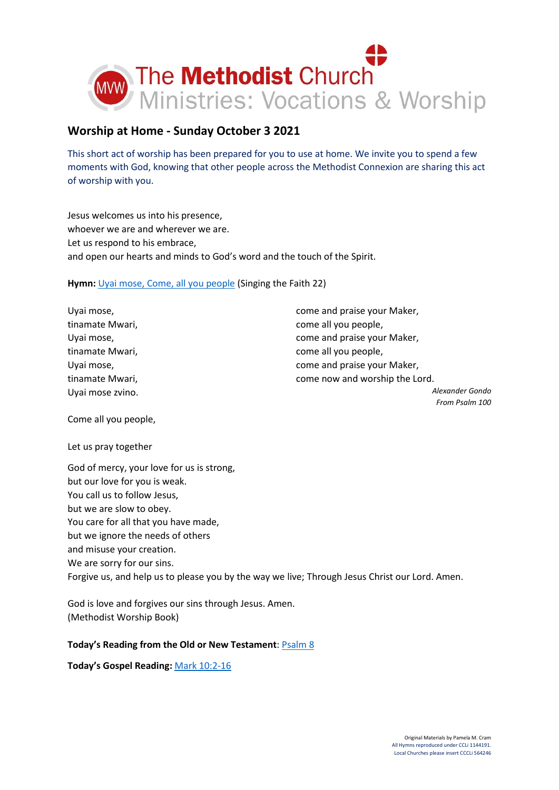

# **Worship at Home - Sunday October 3 2021**

This short act of worship has been prepared for you to use at home. We invite you to spend a few moments with God, knowing that other people across the Methodist Connexion are sharing this act of worship with you.

Jesus welcomes us into his presence, whoever we are and wherever we are. Let us respond to his embrace, and open our hearts and minds to God's word and the touch of the Spirit.

**Hymn:** [Uyai mose, Come, all you people](https://www.youtube.com/watch?v=sMZJFhhTr0I) (Singing the Faith 22)

Uyai mose, tinamate Mwari, Uyai mose, tinamate Mwari, Uyai mose, tinamate Mwari, Uyai mose zvino. come and praise your Maker, come all you people, come and praise your Maker, come all you people, come and praise your Maker, come now and worship the Lord. *Alexander Gondo*

*From Psalm 100*

Come all you people,

Let us pray together

God of mercy, your love for us is strong, but our love for you is weak. You call us to follow Jesus, but we are slow to obey. You care for all that you have made, but we ignore the needs of others and misuse your creation. We are sorry for our sins. Forgive us, and help us to please you by the way we live; Through Jesus Christ our Lord. Amen.

God is love and forgives our sins through Jesus. Amen. (Methodist Worship Book)

# **Today's Reading from the Old or New Testament**: [Psalm 8](https://www.biblegateway.com/passage/?search=Psalm+8&version=NIV)

**Today's Gospel Reading:** [Mark 10:2-16](https://www.biblegateway.com/passage/?search=Mark+10%3A2-16&version=NIV)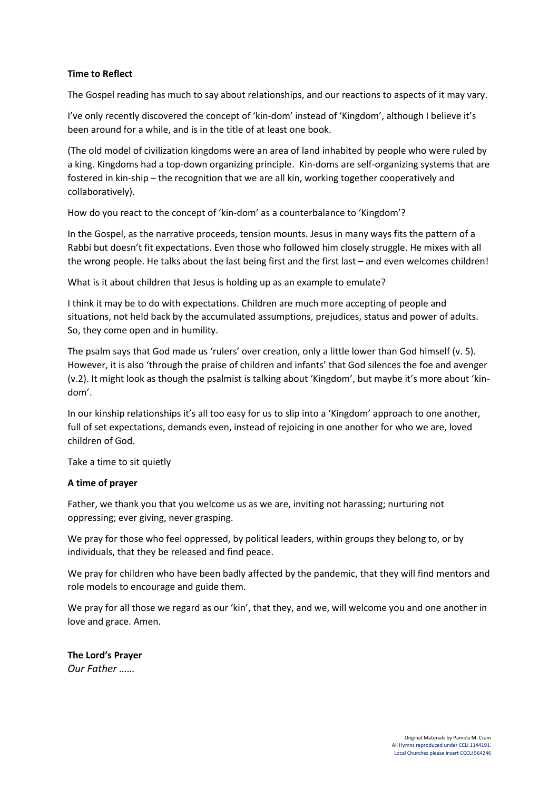### **Time to Reflect**

The Gospel reading has much to say about relationships, and our reactions to aspects of it may vary.

I've only recently discovered the concept of 'kin-dom' instead of 'Kingdom', although I believe it's been around for a while, and is in the title of at least one book.

(The old model of civilization kingdoms were an area of land inhabited by people who were ruled by a king. Kingdoms had a top-down organizing principle. Kin-doms are self-organizing systems that are fostered in kin-ship – the recognition that we are all kin, working together cooperatively and collaboratively).

How do you react to the concept of 'kin-dom' as a counterbalance to 'Kingdom'?

In the Gospel, as the narrative proceeds, tension mounts. Jesus in many ways fits the pattern of a Rabbi but doesn't fit expectations. Even those who followed him closely struggle. He mixes with all the wrong people. He talks about the last being first and the first last – and even welcomes children!

What is it about children that Jesus is holding up as an example to emulate?

I think it may be to do with expectations. Children are much more accepting of people and situations, not held back by the accumulated assumptions, prejudices, status and power of adults. So, they come open and in humility.

The psalm says that God made us 'rulers' over creation, only a little lower than God himself (v. 5). However, it is also 'through the praise of children and infants' that God silences the foe and avenger (v.2). It might look as though the psalmist is talking about 'Kingdom', but maybe it's more about 'kindom'.

In our kinship relationships it's all too easy for us to slip into a 'Kingdom' approach to one another, full of set expectations, demands even, instead of rejoicing in one another for who we are, loved children of God.

Take a time to sit quietly

# **A time of prayer**

Father, we thank you that you welcome us as we are, inviting not harassing; nurturing not oppressing; ever giving, never grasping.

We pray for those who feel oppressed, by political leaders, within groups they belong to, or by individuals, that they be released and find peace.

We pray for children who have been badly affected by the pandemic, that they will find mentors and role models to encourage and guide them.

We pray for all those we regard as our 'kin', that they, and we, will welcome you and one another in love and grace. Amen.

**The Lord's Prayer** *Our Father ……*